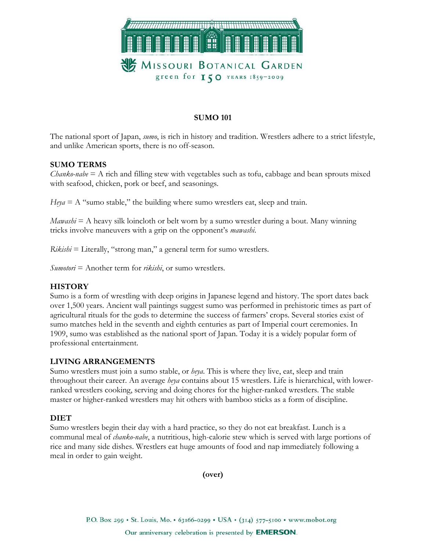

## SUMO 101

The national sport of Japan, *sumo*, is rich in history and tradition. Wrestlers adhere to a strict lifestyle, and unlike American sports, there is no off-season.

## SUMO TERMS

 $Chanko\text{-}nabe = A$  rich and filling stew with vegetables such as tofu, cabbage and bean sprouts mixed with seafood, chicken, pork or beef, and seasonings.

 $Heya = A$  "sumo stable," the building where sumo wrestlers eat, sleep and train.

 $Mawashi = A$  heavy silk loincloth or belt worn by a sumo wrestler during a bout. Many winning tricks involve maneuvers with a grip on the opponent's mawashi.

 $Rikishi = \text{Literally},$  "strong man," a general term for sumo wrestlers.

 $Sumotor = Another term for *rikishi*, or sum overest.$ 

### **HISTORY**

Sumo is a form of wrestling with deep origins in Japanese legend and history. The sport dates back over 1,500 years. Ancient wall paintings suggest sumo was performed in prehistoric times as part of agricultural rituals for the gods to determine the success of farmers' crops. Several stories exist of sumo matches held in the seventh and eighth centuries as part of Imperial court ceremonies. In 1909, sumo was established as the national sport of Japan. Today it is a widely popular form of professional entertainment.

### LIVING ARRANGEMENTS

Sumo wrestlers must join a sumo stable, or  $\text{key}a$ . This is where they live, eat, sleep and train throughout their career. An average heya contains about 15 wrestlers. Life is hierarchical, with lowerranked wrestlers cooking, serving and doing chores for the higher-ranked wrestlers. The stable master or higher-ranked wrestlers may hit others with bamboo sticks as a form of discipline.

# DIET

Sumo wrestlers begin their day with a hard practice, so they do not eat breakfast. Lunch is a communal meal of *chanko-nabe*, a nutritious, high-calorie stew which is served with large portions of rice and many side dishes. Wrestlers eat huge amounts of food and nap immediately following a meal in order to gain weight.

(over)

P.O. Box 299 · St. Louis, Mo. • 63166-0299 · USA · (314) 577-5100 · www.mobot.org

Our anniversary celebration is presented by **EMERSON**.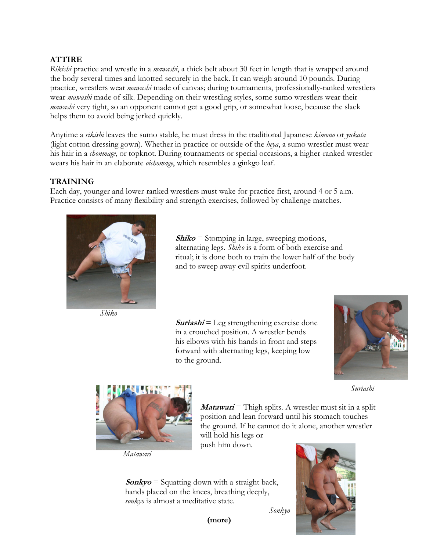# ATTIRE

Rikishi practice and wrestle in a *mawashi*, a thick belt about 30 feet in length that is wrapped around the body several times and knotted securely in the back. It can weigh around 10 pounds. During practice, wrestlers wear mawashi made of canvas; during tournaments, professionally-ranked wrestlers wear *mawashi* made of silk. Depending on their wrestling styles, some sumo wrestlers wear their mawashi very tight, so an opponent cannot get a good grip, or somewhat loose, because the slack helps them to avoid being jerked quickly.

Anytime a *rikishi* leaves the sumo stable, he must dress in the traditional Japanese kimono or *yukata* (light cotton dressing gown). Whether in practice or outside of the *heya*, a sumo wrestler must wear his hair in a *chonmage*, or topknot. During tournaments or special occasions, a higher-ranked wrestler wears his hair in an elaborate *oichomage*, which resembles a ginkgo leaf.

## **TRAINING**

Each day, younger and lower-ranked wrestlers must wake for practice first, around 4 or 5 a.m. Practice consists of many flexibility and strength exercises, followed by challenge matches.



 $Shiko =$  Stomping in large, sweeping motions, alternating legs. Shiko is a form of both exercise and ritual; it is done both to train the lower half of the body and to sweep away evil spirits underfoot.

Shiko

 $Suriashi = \text{Leg strengthening exercise}$  in a crouched position. A wrestler bends his elbows with his hands in front and steps forward with alternating legs, keeping low to the ground.





Matawari

*Matawari* = Thigh splits. A wrestler must sit in a split position and lean forward until his stomach touches the ground. If he cannot do it alone, another wrestler will hold his legs or push him down.

 $\mathit{Sonkyo}$  = Squatting down with a straight back, hands placed on the knees, breathing deeply, sonkyo is almost a meditative state.

Sonkyo



(more)